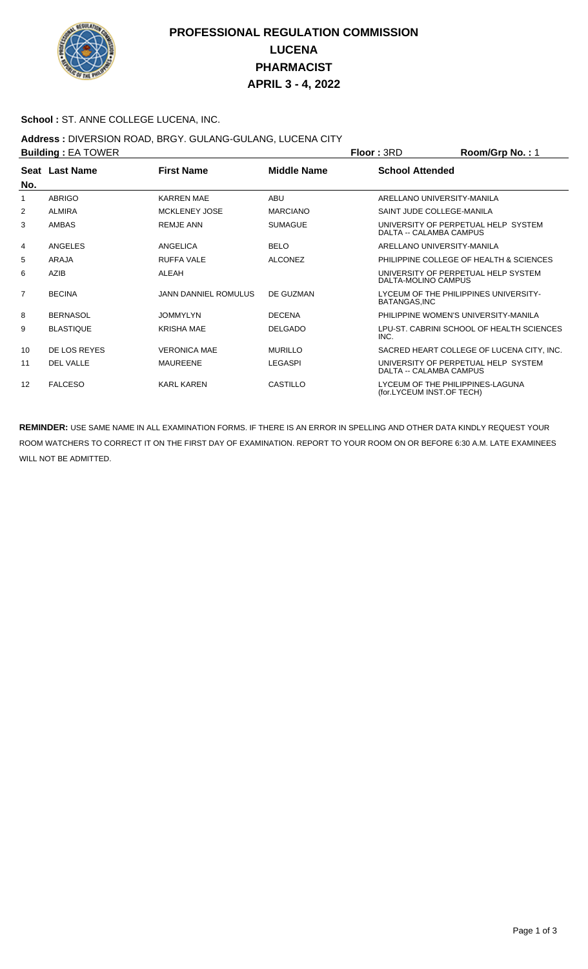

# **PROFESSIONAL REGULATION COMMISSION LUCENA PHARMACIST APRIL 3 - 4, 2022**

#### **School :** ST. ANNE COLLEGE LUCENA, INC.

### **Address :** DIVERSION ROAD, BRGY. GULANG-GULANG, LUCENA CITY

|                | <b>Building: EA TOWER</b> |                      | Floor: 3RD         | Room/Grp No.: 1           |                                           |
|----------------|---------------------------|----------------------|--------------------|---------------------------|-------------------------------------------|
| No.            | Seat Last Name            | <b>First Name</b>    | <b>Middle Name</b> | <b>School Attended</b>    |                                           |
|                | <b>ABRIGO</b>             | <b>KARREN MAE</b>    | <b>ABU</b>         |                           | ARELLANO UNIVERSITY-MANILA                |
| 1              |                           |                      |                    |                           |                                           |
| 2              | <b>ALMIRA</b>             | <b>MCKLENEY JOSE</b> | <b>MARCIANO</b>    | SAINT JUDE COLLEGE-MANILA |                                           |
| 3              | AMBAS                     | <b>REMJE ANN</b>     | <b>SUMAGUE</b>     | DALTA -- CALAMBA CAMPUS   | UNIVERSITY OF PERPETUAL HELP SYSTEM       |
| 4              | ANGELES                   | ANGELICA             | <b>BELO</b>        |                           | ARELLANO UNIVERSITY-MANILA                |
| 5              | ARAJA                     | <b>RUFFA VALE</b>    | <b>ALCONEZ</b>     |                           | PHILIPPINE COLLEGE OF HEALTH & SCIENCES   |
| 6              | <b>AZIB</b>               | ALEAH                |                    | DALTA-MOLINO CAMPUS       | UNIVERSITY OF PERPETUAL HELP SYSTEM       |
| $\overline{7}$ | <b>BECINA</b>             | JANN DANNIEL ROMULUS | DE GUZMAN          | BATANGAS.INC              | LYCEUM OF THE PHILIPPINES UNIVERSITY-     |
| 8              | <b>BERNASOL</b>           | <b>JOMMYLYN</b>      | <b>DECENA</b>      |                           | PHILIPPINE WOMEN'S UNIVERSITY-MANILA      |
| 9              | <b>BLASTIQUE</b>          | <b>KRISHA MAE</b>    | <b>DELGADO</b>     | INC.                      | LPU-ST. CABRINI SCHOOL OF HEALTH SCIENCES |
| 10             | DE LOS REYES              | <b>VERONICA MAE</b>  | <b>MURILLO</b>     |                           | SACRED HEART COLLEGE OF LUCENA CITY, INC. |
| 11             | <b>DEL VALLE</b>          | <b>MAUREENE</b>      | LEGASPI            | DALTA -- CALAMBA CAMPUS   | UNIVERSITY OF PERPETUAL HELP SYSTEM       |
| 12             | <b>FALCESO</b>            | <b>KARL KAREN</b>    | <b>CASTILLO</b>    | (for.LYCEUM INST.OF TECH) | LYCEUM OF THE PHILIPPINES-LAGUNA          |

**REMINDER:** USE SAME NAME IN ALL EXAMINATION FORMS. IF THERE IS AN ERROR IN SPELLING AND OTHER DATA KINDLY REQUEST YOUR ROOM WATCHERS TO CORRECT IT ON THE FIRST DAY OF EXAMINATION. REPORT TO YOUR ROOM ON OR BEFORE 6:30 A.M. LATE EXAMINEES WILL NOT BE ADMITTED.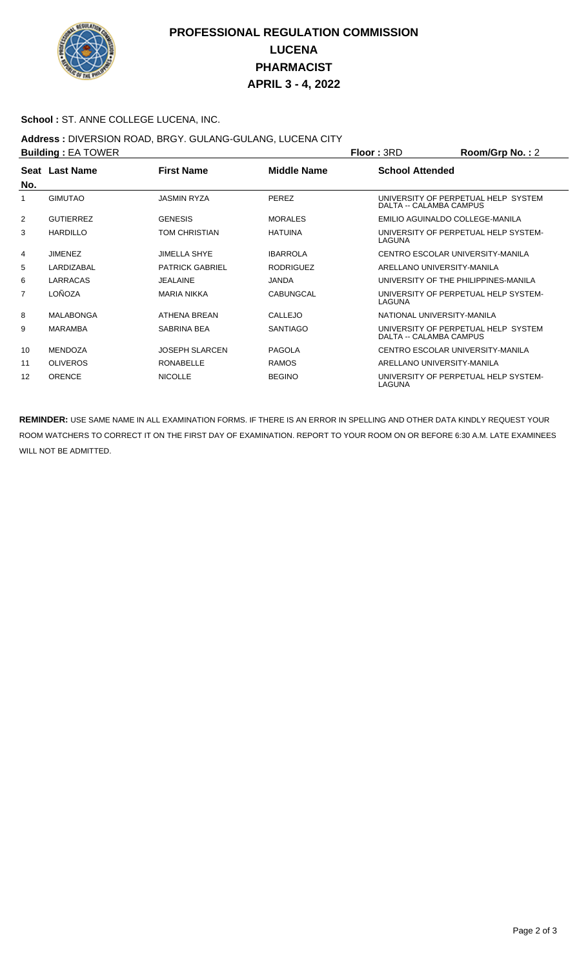

# **PROFESSIONAL REGULATION COMMISSION LUCENA PHARMACIST APRIL 3 - 4, 2022**

#### **School :** ST. ANNE COLLEGE LUCENA, INC.

### **Address :** DIVERSION ROAD, BRGY. GULANG-GULANG, LUCENA CITY

|                | <b>Building: EA TOWER</b> |                        | <b>Floor: 3RD</b>  | Room/Grp No.: 2         |                                      |
|----------------|---------------------------|------------------------|--------------------|-------------------------|--------------------------------------|
|                | Seat Last Name            | <b>First Name</b>      | <b>Middle Name</b> | <b>School Attended</b>  |                                      |
| No.            |                           |                        |                    |                         |                                      |
| 1              | <b>GIMUTAO</b>            | <b>JASMIN RYZA</b>     | <b>PEREZ</b>       | DALTA -- CALAMBA CAMPUS | UNIVERSITY OF PERPETUAL HELP SYSTEM  |
| 2              | <b>GUTIERREZ</b>          | <b>GENESIS</b>         | <b>MORALES</b>     |                         | EMILIO AGUINALDO COLLEGE-MANILA      |
| 3              | <b>HARDILLO</b>           | <b>TOM CHRISTIAN</b>   | <b>HATUINA</b>     | LAGUNA                  | UNIVERSITY OF PERPETUAL HELP SYSTEM- |
| 4              | <b>JIMENEZ</b>            | <b>JIMELLA SHYE</b>    | <b>IBARROLA</b>    |                         | CENTRO ESCOLAR UNIVERSITY-MANILA     |
| 5              | LARDIZABAL                | <b>PATRICK GABRIEL</b> | <b>RODRIGUEZ</b>   |                         | ARELLANO UNIVERSITY-MANILA           |
| 6              | <b>LARRACAS</b>           | <b>JEALAINE</b>        | <b>JANDA</b>       |                         | UNIVERSITY OF THE PHILIPPINES-MANILA |
| $\overline{7}$ | LOÑOZA                    | <b>MARIA NIKKA</b>     | <b>CABUNGCAL</b>   | LAGUNA                  | UNIVERSITY OF PERPETUAL HELP SYSTEM- |
| 8              | <b>MALABONGA</b>          | <b>ATHENA BREAN</b>    | CALLEJO            |                         | NATIONAL UNIVERSITY-MANILA           |
| 9              | <b>MARAMBA</b>            | SABRINA BEA            | <b>SANTIAGO</b>    | DALTA -- CALAMBA CAMPUS | UNIVERSITY OF PERPETUAL HELP SYSTEM  |
| 10             | <b>MENDOZA</b>            | <b>JOSEPH SLARCEN</b>  | <b>PAGOLA</b>      |                         | CENTRO ESCOLAR UNIVERSITY-MANILA     |
| 11             | <b>OLIVEROS</b>           | <b>RONABELLE</b>       | <b>RAMOS</b>       |                         | ARELLANO UNIVERSITY-MANILA           |
| 12             | <b>ORENCE</b>             | <b>NICOLLE</b>         | <b>BEGINO</b>      | LAGUNA                  | UNIVERSITY OF PERPETUAL HELP SYSTEM- |

**REMINDER:** USE SAME NAME IN ALL EXAMINATION FORMS. IF THERE IS AN ERROR IN SPELLING AND OTHER DATA KINDLY REQUEST YOUR ROOM WATCHERS TO CORRECT IT ON THE FIRST DAY OF EXAMINATION. REPORT TO YOUR ROOM ON OR BEFORE 6:30 A.M. LATE EXAMINEES WILL NOT BE ADMITTED.